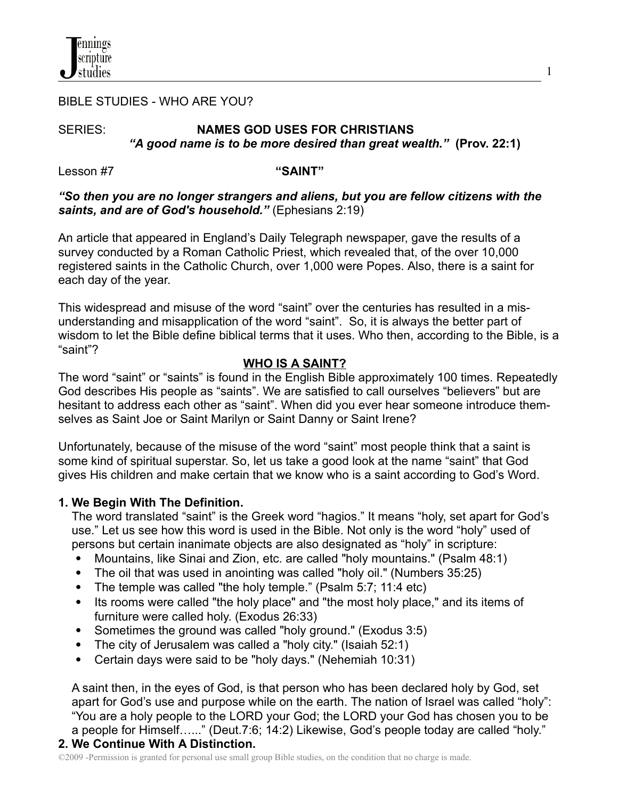

## BIBLE STUDIES - WHO ARE YOU?

# SERIES: **NAMES GOD USES FOR CHRISTIANS** *"A good name is to be more desired than great wealth."* **(Prov. 22:1)**

Lesson #7 **"SAINT"**

## *"So then you are no longer strangers and aliens, but you are fellow citizens with the saints, and are of God's household."* (Ephesians 2:19)

An article that appeared in England's Daily Telegraph newspaper, gave the results of a survey conducted by a Roman Catholic Priest, which revealed that, of the over 10,000 registered saints in the Catholic Church, over 1,000 were Popes. Also, there is a saint for each day of the year.

This widespread and misuse of the word "saint" over the centuries has resulted in a misunderstanding and misapplication of the word "saint". So, it is always the better part of wisdom to let the Bible define biblical terms that it uses. Who then, according to the Bible, is a "saint"?

## **WHO IS A SAINT?**

The word "saint" or "saints" is found in the English Bible approximately 100 times. Repeatedly God describes His people as "saints". We are satisfied to call ourselves "believers" but are hesitant to address each other as "saint". When did you ever hear someone introduce themselves as Saint Joe or Saint Marilyn or Saint Danny or Saint Irene?

Unfortunately, because of the misuse of the word "saint" most people think that a saint is some kind of spiritual superstar. So, let us take a good look at the name "saint" that God gives His children and make certain that we know who is a saint according to God's Word.

## **1. We Begin With The Definition.**

The word translated "saint" is the Greek word "hagios." It means "holy, set apart for God's use." Let us see how this word is used in the Bible. Not only is the word "holy" used of persons but certain inanimate objects are also designated as "holy" in scripture:

- Mountains, like Sinai and Zion, etc. are called "holy mountains." (Psalm 48:1)
- The oil that was used in anointing was called "holy oil." (Numbers 35:25)
- The temple was called "the holy temple." (Psalm 5:7; 11:4 etc)
- Its rooms were called "the holy place" and "the most holy place," and its items of furniture were called holy. (Exodus 26:33)
- Sometimes the ground was called "holy ground." (Exodus 3:5)
- The city of Jerusalem was called a "holy city." (Isaiah 52:1)
- Certain days were said to be "holy days." (Nehemiah 10:31)

A saint then, in the eyes of God, is that person who has been declared holy by God, set apart for God's use and purpose while on the earth. The nation of Israel was called "holy": "You are a holy people to the LORD your God; the LORD your God has chosen you to be a people for Himself…..." (Deut.7:6; 14:2) Likewise, God's people today are called "holy."

## **2. We Continue With A Distinction.**

©2009 -Permission is granted for personal use small group Bible studies, on the condition that no charge is made.

1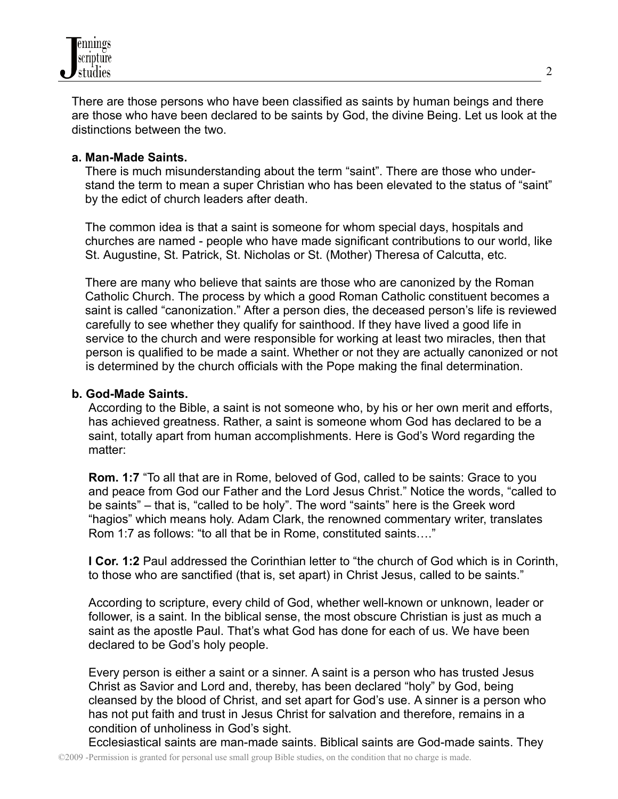

There are those persons who have been classified as saints by human beings and there are those who have been declared to be saints by God, the divine Being. Let us look at the distinctions between the two.

## **a. Man-Made Saints.**

There is much misunderstanding about the term "saint". There are those who understand the term to mean a super Christian who has been elevated to the status of "saint" by the edict of church leaders after death.

The common idea is that a saint is someone for whom special days, hospitals and churches are named - people who have made significant contributions to our world, like St. Augustine, St. Patrick, St. Nicholas or St. (Mother) Theresa of Calcutta, etc.

There are many who believe that saints are those who are canonized by the Roman Catholic Church. The process by which a good Roman Catholic constituent becomes a saint is called "canonization." After a person dies, the deceased person's life is reviewed carefully to see whether they qualify for sainthood. If they have lived a good life in service to the church and were responsible for working at least two miracles, then that person is qualified to be made a saint. Whether or not they are actually canonized or not is determined by the church officials with the Pope making the final determination.

## **b. God-Made Saints.**

According to the Bible, a saint is not someone who, by his or her own merit and efforts, has achieved greatness. Rather, a saint is someone whom God has declared to be a saint, totally apart from human accomplishments. Here is God's Word regarding the matter:

**Rom. 1:7** "To all that are in Rome, beloved of God, called to be saints: Grace to you and peace from God our Father and the Lord Jesus Christ." Notice the words, "called to be saints" – that is, "called to be holy". The word "saints" here is the Greek word "hagios" which means holy. Adam Clark, the renowned commentary writer, translates Rom 1:7 as follows: "to all that be in Rome, constituted saints…."

**I Cor. 1:2** Paul addressed the Corinthian letter to "the church of God which is in Corinth, to those who are sanctified (that is, set apart) in Christ Jesus, called to be saints."

According to scripture, every child of God, whether well-known or unknown, leader or follower, is a saint. In the biblical sense, the most obscure Christian is just as much a saint as the apostle Paul. That's what God has done for each of us. We have been declared to be God's holy people.

Every person is either a saint or a sinner. A saint is a person who has trusted Jesus Christ as Savior and Lord and, thereby, has been declared "holy" by God, being cleansed by the blood of Christ, and set apart for God's use. A sinner is a person who has not put faith and trust in Jesus Christ for salvation and therefore, remains in a condition of unholiness in God's sight.

Ecclesiastical saints are man-made saints. Biblical saints are God-made saints. They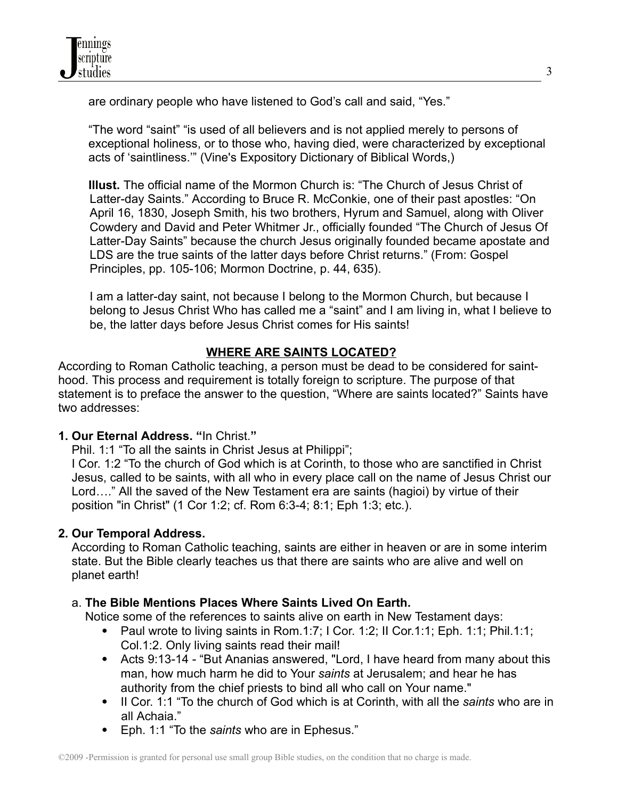are ordinary people who have listened to God's call and said, "Yes."

"The word "saint" "is used of all believers and is not applied merely to persons of exceptional holiness, or to those who, having died, were characterized by exceptional acts of 'saintliness.'" (Vine's Expository Dictionary of Biblical Words,)

**Illust.** The official name of the Mormon Church is: "The Church of Jesus Christ of Latter-day Saints." According to Bruce R. McConkie, one of their past apostles: "On April 16, 1830, Joseph Smith, his two brothers, Hyrum and Samuel, along with Oliver Cowdery and David and Peter Whitmer Jr., officially founded "The Church of Jesus Of Latter-Day Saints" because the church Jesus originally founded became apostate and LDS are the true saints of the latter days before Christ returns." (From: Gospel Principles, pp. 105-106; Mormon Doctrine, p. 44, 635).

I am a latter-day saint, not because I belong to the Mormon Church, but because I belong to Jesus Christ Who has called me a "saint" and I am living in, what I believe to be, the latter days before Jesus Christ comes for His saints!

# **WHERE ARE SAINTS LOCATED?**

According to Roman Catholic teaching, a person must be dead to be considered for sainthood. This process and requirement is totally foreign to scripture. The purpose of that statement is to preface the answer to the question, "Where are saints located?" Saints have two addresses:

# **1. Our Eternal Address. "**In Christ.**"**

Phil. 1:1 "To all the saints in Christ Jesus at Philippi";

I Cor. 1:2 "To the church of God which is at Corinth, to those who are sanctified in Christ Jesus, called to be saints, with all who in every place call on the name of Jesus Christ our Lord…." All the saved of the New Testament era are saints (hagioi) by virtue of their position "in Christ" (1 Cor 1:2; cf. Rom 6:3-4; 8:1; Eph 1:3; etc.).

# **2. Our Temporal Address.**

According to Roman Catholic teaching, saints are either in heaven or are in some interim state. But the Bible clearly teaches us that there are saints who are alive and well on planet earth!

# a. **The Bible Mentions Places Where Saints Lived On Earth.**

Notice some of the references to saints alive on earth in New Testament days:

- Paul wrote to living saints in Rom.1:7; I Cor. 1:2; II Cor.1:1; Eph. 1:1; Phil.1:1; Col.1:2. Only living saints read their mail!
- Acts 9:13-14 "But Ananias answered, "Lord, I have heard from many about this man, how much harm he did to Your *saints* at Jerusalem; and hear he has authority from the chief priests to bind all who call on Your name."
- II Cor. 1:1 "To the church of God which is at Corinth, with all the *saints* who are in all Achaia."
- Eph. 1:1 "To the *saints* who are in Ephesus."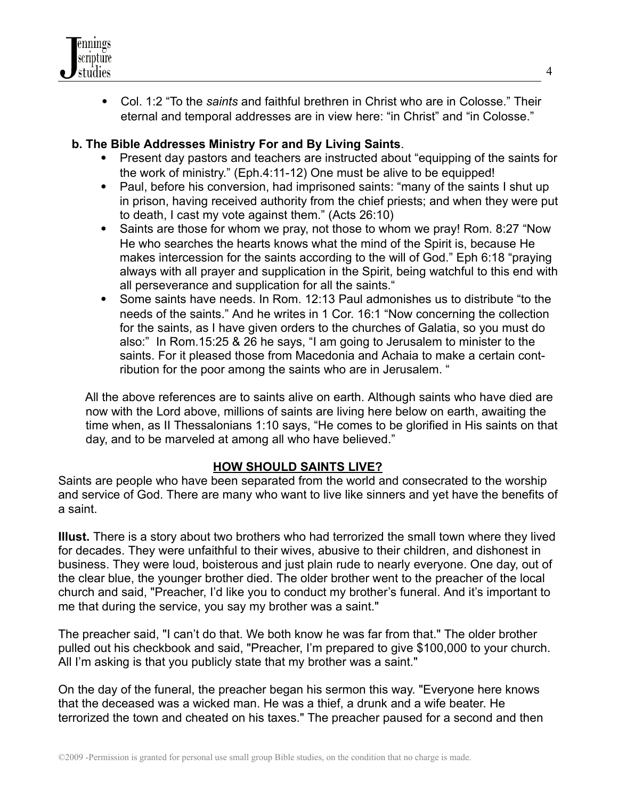

 Col. 1:2 "To the *saints* and faithful brethren in Christ who are in Colosse." Their eternal and temporal addresses are in view here: "in Christ" and "in Colosse."

# **b. The Bible Addresses Ministry For and By Living Saints**.

- Present day pastors and teachers are instructed about "equipping of the saints for the work of ministry." (Eph.4:11-12) One must be alive to be equipped!
- Paul, before his conversion, had imprisoned saints: "many of the saints I shut up in prison, having received authority from the chief priests; and when they were put to death, I cast my vote against them." (Acts 26:10)
- Saints are those for whom we pray, not those to whom we pray! Rom. 8:27 "Now He who searches the hearts knows what the mind of the Spirit is, because He makes intercession for the saints according to the will of God." Eph 6:18 "praying always with all prayer and supplication in the Spirit, being watchful to this end with all perseverance and supplication for all the saints."
- Some saints have needs. In Rom. 12:13 Paul admonishes us to distribute "to the needs of the saints." And he writes in 1 Cor. 16:1 "Now concerning the collection for the saints, as I have given orders to the churches of Galatia, so you must do also:" In Rom.15:25 & 26 he says, "I am going to Jerusalem to minister to the saints. For it pleased those from Macedonia and Achaia to make a certain contribution for the poor among the saints who are in Jerusalem. "

All the above references are to saints alive on earth. Although saints who have died are now with the Lord above, millions of saints are living here below on earth, awaiting the time when, as II Thessalonians 1:10 says, "He comes to be glorified in His saints on that day, and to be marveled at among all who have believed."

## **HOW SHOULD SAINTS LIVE?**

Saints are people who have been separated from the world and consecrated to the worship and service of God. There are many who want to live like sinners and yet have the benefits of a saint.

**Illust.** There is a story about two brothers who had terrorized the small town where they lived for decades. They were unfaithful to their wives, abusive to their children, and dishonest in business. They were loud, boisterous and just plain rude to nearly everyone. One day, out of the clear blue, the younger brother died. The older brother went to the preacher of the local church and said, "Preacher, I'd like you to conduct my brother's funeral. And it's important to me that during the service, you say my brother was a saint."

The preacher said, "I can't do that. We both know he was far from that." The older brother pulled out his checkbook and said, "Preacher, I'm prepared to give \$100,000 to your church. All I'm asking is that you publicly state that my brother was a saint."

On the day of the funeral, the preacher began his sermon this way. "Everyone here knows that the deceased was a wicked man. He was a thief, a drunk and a wife beater. He terrorized the town and cheated on his taxes." The preacher paused for a second and then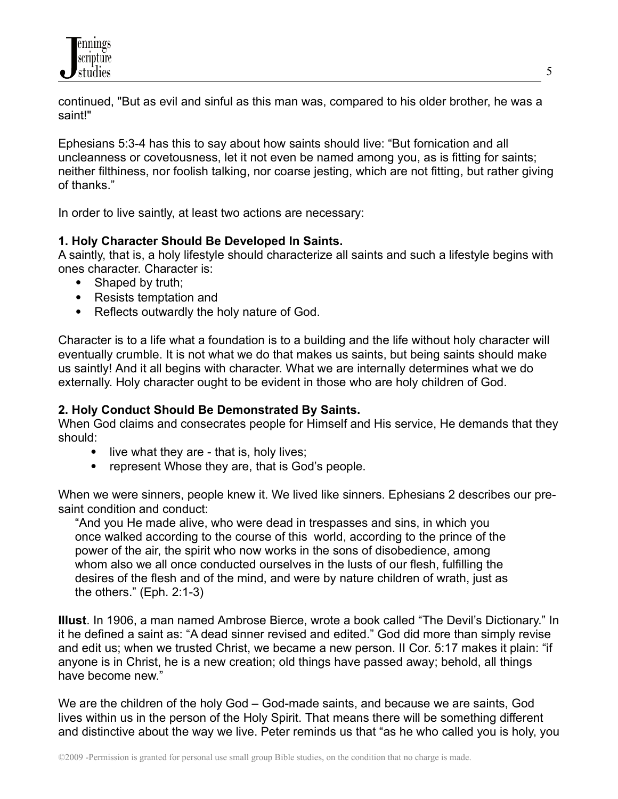

continued, "But as evil and sinful as this man was, compared to his older brother, he was a saint!"

Ephesians 5:3-4 has this to say about how saints should live: "But fornication and all uncleanness or covetousness, let it not even be named among you, as is fitting for saints; neither filthiness, nor foolish talking, nor coarse jesting, which are not fitting, but rather giving of thanks."

In order to live saintly, at least two actions are necessary:

## **1. Holy Character Should Be Developed In Saints.**

A saintly, that is, a holy lifestyle should characterize all saints and such a lifestyle begins with ones character. Character is:

- Shaped by truth;
- Resists temptation and
- Reflects outwardly the holy nature of God.

Character is to a life what a foundation is to a building and the life without holy character will eventually crumble. It is not what we do that makes us saints, but being saints should make us saintly! And it all begins with character. What we are internally determines what we do externally. Holy character ought to be evident in those who are holy children of God.

## **2. Holy Conduct Should Be Demonstrated By Saints.**

When God claims and consecrates people for Himself and His service, He demands that they should:

- $\bullet$  live what they are that is, holy lives;
- represent Whose they are, that is God's people.

When we were sinners, people knew it. We lived like sinners. Ephesians 2 describes our presaint condition and conduct:

"And you He made alive, who were dead in trespasses and sins, in which you once walked according to the course of this world, according to the prince of the power of the air, the spirit who now works in the sons of disobedience, among whom also we all once conducted ourselves in the lusts of our flesh, fulfilling the desires of the flesh and of the mind, and were by nature children of wrath, just as the others." (Eph. 2:1-3)

**Illust**. In 1906, a man named Ambrose Bierce, wrote a book called "The Devil's Dictionary." In it he defined a saint as: "A dead sinner revised and edited." God did more than simply revise and edit us; when we trusted Christ, we became a new person. II Cor. 5:17 makes it plain: "if anyone is in Christ, he is a new creation; old things have passed away; behold, all things have become new."

We are the children of the holy God – God-made saints, and because we are saints, God lives within us in the person of the Holy Spirit. That means there will be something different and distinctive about the way we live. Peter reminds us that "as he who called you is holy, you